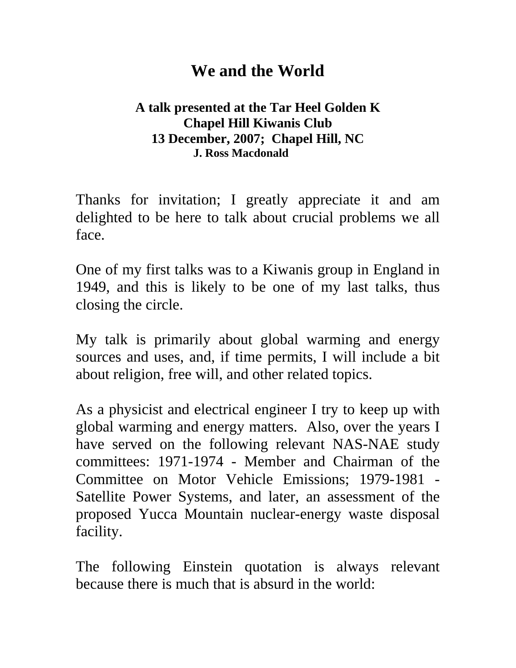## **We and the World**

#### **A talk presented at the Tar Heel Golden K Chapel Hill Kiwanis Club 13 December, 2007; Chapel Hill, NC J. Ross Macdonald**

Thanks for invitation; I greatly appreciate it and am delighted to be here to talk about crucial problems we all face.

One of my first talks was to a Kiwanis group in England in 1949, and this is likely to be one of my last talks, thus closing the circle.

My talk is primarily about global warming and energy sources and uses, and, if time permits, I will include a bit about religion, free will, and other related topics.

As a physicist and electrical engineer I try to keep up with global warming and energy matters. Also, over the years I have served on the following relevant NAS-NAE study committees: 1971-1974 - Member and Chairman of the Committee on Motor Vehicle Emissions; 1979-1981 - Satellite Power Systems, and later, an assessment of the proposed Yucca Mountain nuclear-energy waste disposal facility.

The following Einstein quotation is always relevant because there is much that is absurd in the world: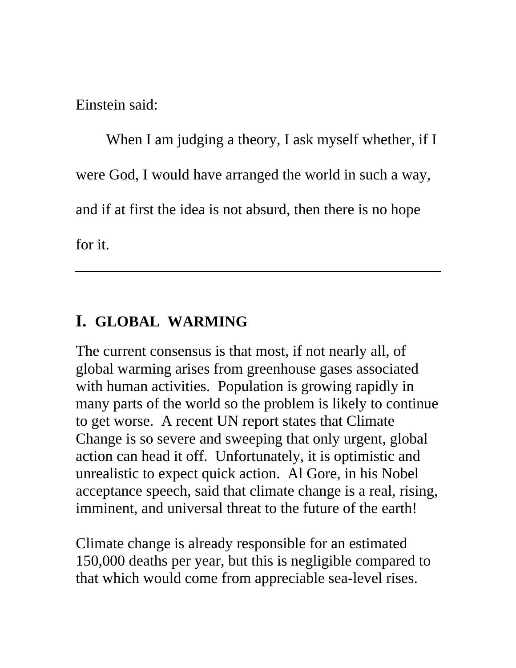Einstein said:

When I am judging a theory, I ask myself whether, if I were God, I would have arranged the world in such a way, and if at first the idea is not absurd, then there is no hope for it.

## **I. GLOBAL WARMING**

The current consensus is that most, if not nearly all, of global warming arises from greenhouse gases associated with human activities. Population is growing rapidly in many parts of the world so the problem is likely to continue to get worse. A recent UN report states that Climate Change is so severe and sweeping that only urgent, global action can head it off. Unfortunately, it is optimistic and unrealistic to expect quick action. Al Gore, in his Nobel acceptance speech, said that climate change is a real, rising, imminent, and universal threat to the future of the earth!

Climate change is already responsible for an estimated 150,000 deaths per year, but this is negligible compared to that which would come from appreciable sea-level rises.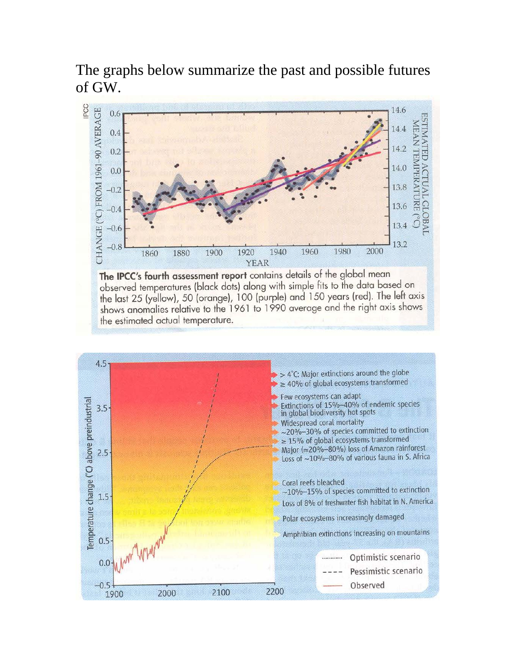The graphs below summarize the past and possible futures of GW.



observed temperatures (black dots) along with simple fits to the data based on the last 25 (yellow), 50 (orange), 100 (purple) and 150 years (red). The left axis<br>shows anomalies relative to the 1961 to 1990 average and the right axis shows the estimated actual temperature.

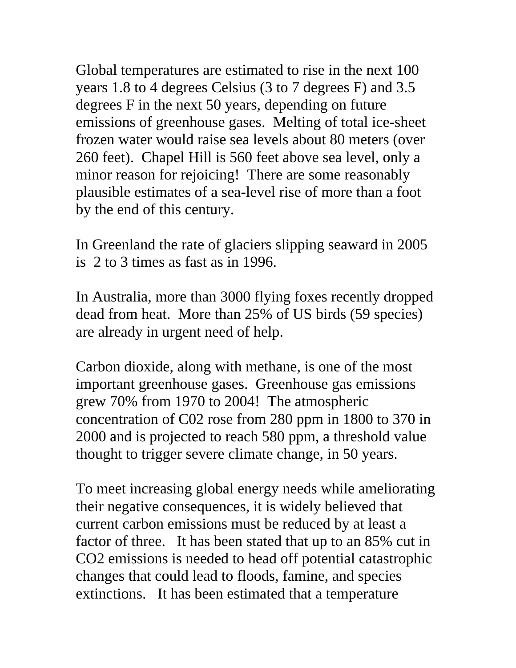Global temperatures are estimated to rise in the next 100 years 1.8 to 4 degrees Celsius (3 to 7 degrees F) and 3.5 degrees F in the next 50 years, depending on future emissions of greenhouse gases. Melting of total ice-sheet frozen water would raise sea levels about 80 meters (over 260 feet). Chapel Hill is 560 feet above sea level, only a minor reason for rejoicing! There are some reasonably plausible estimates of a sea-level rise of more than a foot by the end of this century.

In Greenland the rate of glaciers slipping seaward in 2005 is 2 to 3 times as fast as in 1996.

In Australia, more than 3000 flying foxes recently dropped dead from heat. More than 25% of US birds (59 species) are already in urgent need of help.

Carbon dioxide, along with methane, is one of the most important greenhouse gases. Greenhouse gas emissions grew 70% from 1970 to 2004! The atmospheric concentration of C02 rose from 280 ppm in 1800 to 370 in 2000 and is projected to reach 580 ppm, a threshold value thought to trigger severe climate change, in 50 years.

To meet increasing global energy needs while ameliorating their negative consequences, it is widely believed that current carbon emissions must be reduced by at least a factor of three. It has been stated that up to an 85% cut in CO2 emissions is needed to head off potential catastrophic changes that could lead to floods, famine, and species extinctions. It has been estimated that a temperature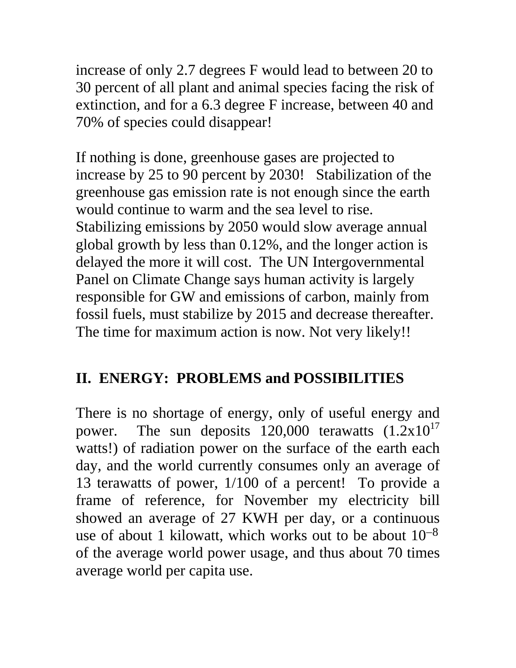increase of only 2.7 degrees F would lead to between 20 to 30 percent of all plant and animal species facing the risk of extinction, and for a 6.3 degree F increase, between 40 and 70% of species could disappear!

If nothing is done, greenhouse gases are projected to increase by 25 to 90 percent by 2030! Stabilization of the greenhouse gas emission rate is not enough since the earth would continue to warm and the sea level to rise. Stabilizing emissions by 2050 would slow average annual global growth by less than 0.12%, and the longer action is delayed the more it will cost. The UN Intergovernmental Panel on Climate Change says human activity is largely responsible for GW and emissions of carbon, mainly from fossil fuels, must stabilize by 2015 and decrease thereafter. The time for maximum action is now. Not very likely!!

## **II. ENERGY: PROBLEMS and POSSIBILITIES**

There is no shortage of energy, only of useful energy and power. The sun deposits  $120,000$  terawatts  $(1.2 \times 10^{17})$ watts!) of radiation power on the surface of the earth each day, and the world currently consumes only an average of 13 terawatts of power, 1/100 of a percent! To provide a frame of reference, for November my electricity bill showed an average of 27 KWH per day, or a continuous use of about 1 kilowatt, which works out to be about  $10^{-8}$ of the average world power usage, and thus about 70 times average world per capita use.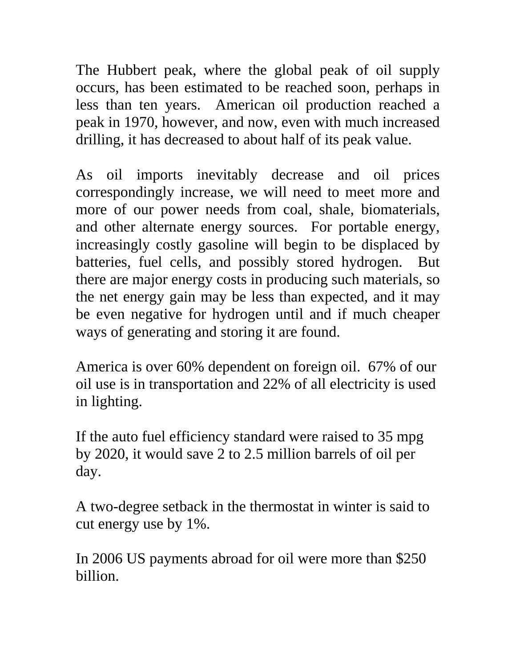The Hubbert peak, where the global peak of oil supply occurs, has been estimated to be reached soon, perhaps in less than ten years. American oil production reached a peak in 1970, however, and now, even with much increased drilling, it has decreased to about half of its peak value.

As oil imports inevitably decrease and oil prices correspondingly increase, we will need to meet more and more of our power needs from coal, shale, biomaterials, and other alternate energy sources. For portable energy, increasingly costly gasoline will begin to be displaced by batteries, fuel cells, and possibly stored hydrogen. But there are major energy costs in producing such materials, so the net energy gain may be less than expected, and it may be even negative for hydrogen until and if much cheaper ways of generating and storing it are found.

America is over 60% dependent on foreign oil. 67% of our oil use is in transportation and 22% of all electricity is used in lighting.

If the auto fuel efficiency standard were raised to 35 mpg by 2020, it would save 2 to 2.5 million barrels of oil per day.

A two-degree setback in the thermostat in winter is said to cut energy use by 1%.

In 2006 US payments abroad for oil were more than \$250 billion.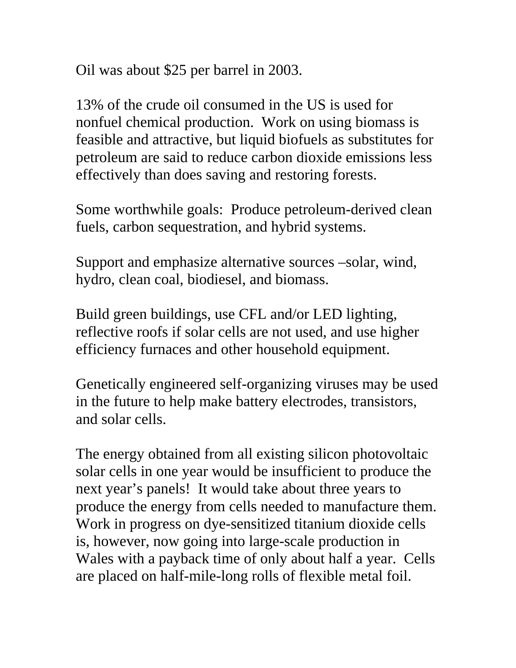Oil was about \$25 per barrel in 2003.

13% of the crude oil consumed in the US is used for nonfuel chemical production. Work on using biomass is feasible and attractive, but liquid biofuels as substitutes for petroleum are said to reduce carbon dioxide emissions less effectively than does saving and restoring forests.

Some worthwhile goals: Produce petroleum-derived clean fuels, carbon sequestration, and hybrid systems.

Support and emphasize alternative sources –solar, wind, hydro, clean coal, biodiesel, and biomass.

Build green buildings, use CFL and/or LED lighting, reflective roofs if solar cells are not used, and use higher efficiency furnaces and other household equipment.

Genetically engineered self-organizing viruses may be used in the future to help make battery electrodes, transistors, and solar cells.

The energy obtained from all existing silicon photovoltaic solar cells in one year would be insufficient to produce the next year's panels! It would take about three years to produce the energy from cells needed to manufacture them. Work in progress on dye-sensitized titanium dioxide cells is, however, now going into large-scale production in Wales with a payback time of only about half a year. Cells are placed on half-mile-long rolls of flexible metal foil.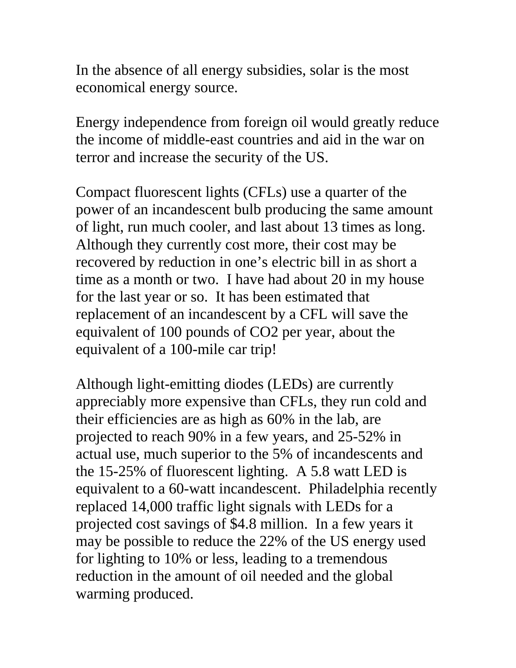In the absence of all energy subsidies, solar is the most economical energy source.

Energy independence from foreign oil would greatly reduce the income of middle-east countries and aid in the war on terror and increase the security of the US.

Compact fluorescent lights (CFLs) use a quarter of the power of an incandescent bulb producing the same amount of light, run much cooler, and last about 13 times as long. Although they currently cost more, their cost may be recovered by reduction in one's electric bill in as short a time as a month or two. I have had about 20 in my house for the last year or so. It has been estimated that replacement of an incandescent by a CFL will save the equivalent of 100 pounds of CO2 per year, about the equivalent of a 100-mile car trip!

Although light-emitting diodes (LEDs) are currently appreciably more expensive than CFLs, they run cold and their efficiencies are as high as 60% in the lab, are projected to reach 90% in a few years, and 25-52% in actual use, much superior to the 5% of incandescents and the 15-25% of fluorescent lighting. A 5.8 watt LED is equivalent to a 60-watt incandescent. Philadelphia recently replaced 14,000 traffic light signals with LEDs for a projected cost savings of \$4.8 million. In a few years it may be possible to reduce the 22% of the US energy used for lighting to 10% or less, leading to a tremendous reduction in the amount of oil needed and the global warming produced.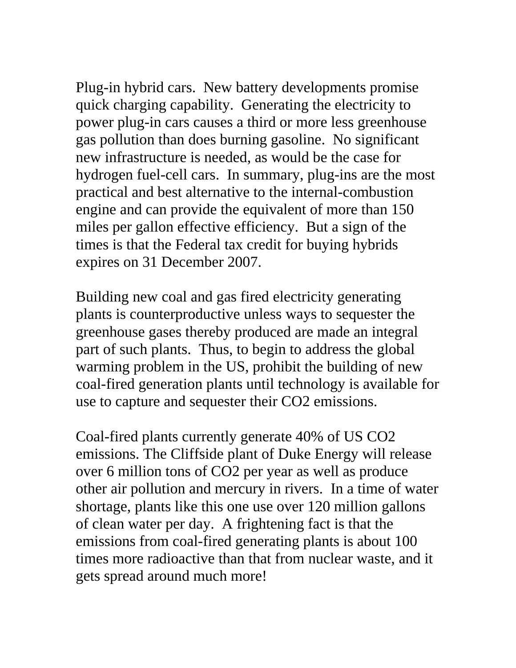Plug-in hybrid cars. New battery developments promise quick charging capability. Generating the electricity to power plug-in cars causes a third or more less greenhouse gas pollution than does burning gasoline. No significant new infrastructure is needed, as would be the case for hydrogen fuel-cell cars. In summary, plug-ins are the most practical and best alternative to the internal-combustion engine and can provide the equivalent of more than 150 miles per gallon effective efficiency. But a sign of the times is that the Federal tax credit for buying hybrids expires on 31 December 2007.

Building new coal and gas fired electricity generating plants is counterproductive unless ways to sequester the greenhouse gases thereby produced are made an integral part of such plants. Thus, to begin to address the global warming problem in the US, prohibit the building of new coal-fired generation plants until technology is available for use to capture and sequester their CO2 emissions.

Coal-fired plants currently generate 40% of US CO2 emissions. The Cliffside plant of Duke Energy will release over 6 million tons of CO2 per year as well as produce other air pollution and mercury in rivers. In a time of water shortage, plants like this one use over 120 million gallons of clean water per day. A frightening fact is that the emissions from coal-fired generating plants is about 100 times more radioactive than that from nuclear waste, and it gets spread around much more!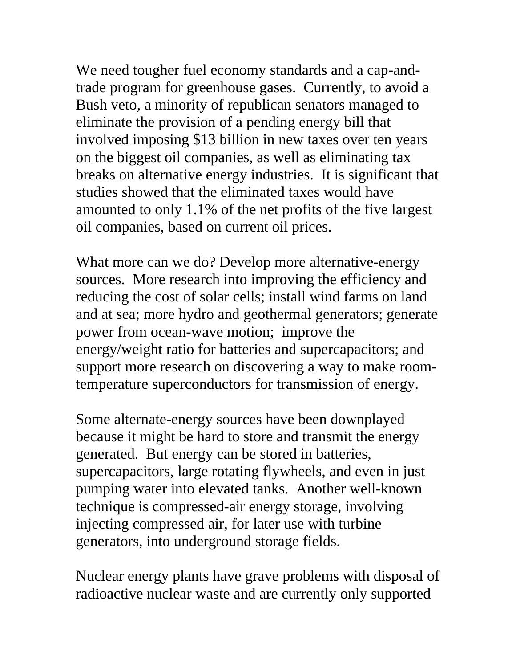We need tougher fuel economy standards and a cap-andtrade program for greenhouse gases. Currently, to avoid a Bush veto, a minority of republican senators managed to eliminate the provision of a pending energy bill that involved imposing \$13 billion in new taxes over ten years on the biggest oil companies, as well as eliminating tax breaks on alternative energy industries. It is significant that studies showed that the eliminated taxes would have amounted to only 1.1% of the net profits of the five largest oil companies, based on current oil prices.

What more can we do? Develop more alternative-energy sources. More research into improving the efficiency and reducing the cost of solar cells; install wind farms on land and at sea; more hydro and geothermal generators; generate power from ocean-wave motion; improve the energy/weight ratio for batteries and supercapacitors; and support more research on discovering a way to make roomtemperature superconductors for transmission of energy.

Some alternate-energy sources have been downplayed because it might be hard to store and transmit the energy generated. But energy can be stored in batteries, supercapacitors, large rotating flywheels, and even in just pumping water into elevated tanks. Another well-known technique is compressed-air energy storage, involving injecting compressed air, for later use with turbine generators, into underground storage fields.

Nuclear energy plants have grave problems with disposal of radioactive nuclear waste and are currently only supported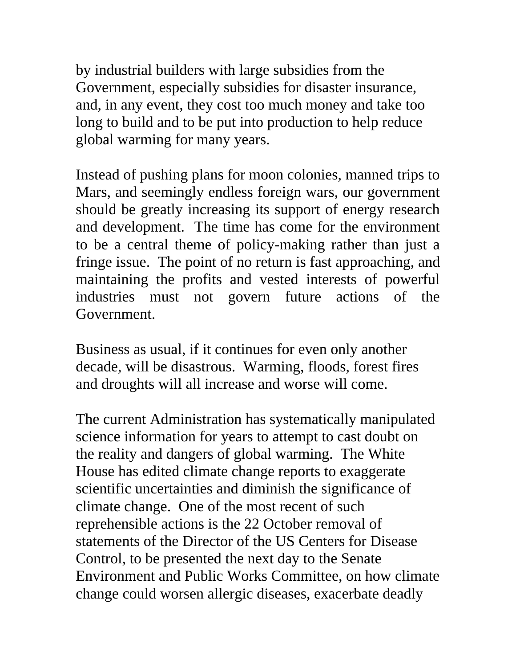by industrial builders with large subsidies from the Government, especially subsidies for disaster insurance, and, in any event, they cost too much money and take too long to build and to be put into production to help reduce global warming for many years.

Instead of pushing plans for moon colonies, manned trips to Mars, and seemingly endless foreign wars, our government should be greatly increasing its support of energy research and development. The time has come for the environment to be a central theme of policy-making rather than just a fringe issue. The point of no return is fast approaching, and maintaining the profits and vested interests of powerful industries must not govern future actions of the Government.

Business as usual, if it continues for even only another decade, will be disastrous. Warming, floods, forest fires and droughts will all increase and worse will come.

The current Administration has systematically manipulated science information for years to attempt to cast doubt on the reality and dangers of global warming. The White House has edited climate change reports to exaggerate scientific uncertainties and diminish the significance of climate change. One of the most recent of such reprehensible actions is the 22 October removal of statements of the Director of the US Centers for Disease Control, to be presented the next day to the Senate Environment and Public Works Committee, on how climate change could worsen allergic diseases, exacerbate deadly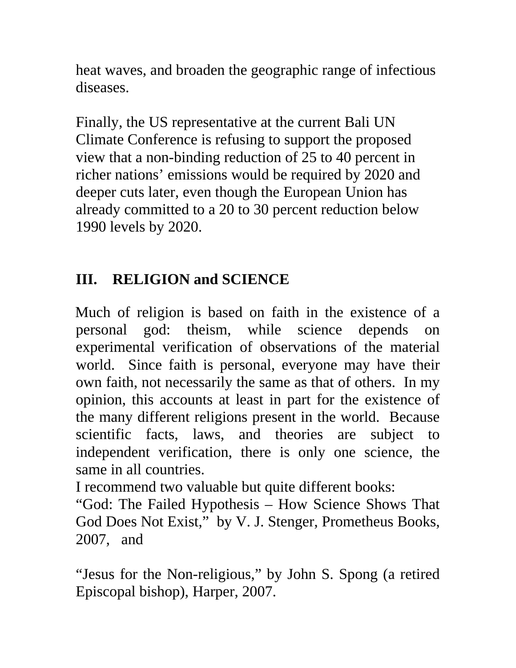heat waves, and broaden the geographic range of infectious diseases.

Finally, the US representative at the current Bali UN Climate Conference is refusing to support the proposed view that a non-binding reduction of 25 to 40 percent in richer nations' emissions would be required by 2020 and deeper cuts later, even though the European Union has already committed to a 20 to 30 percent reduction below 1990 levels by 2020.

# **III. RELIGION and SCIENCE**

Much of religion is based on faith in the existence of a personal god: theism, while science depends on experimental verification of observations of the material world. Since faith is personal, everyone may have their own faith, not necessarily the same as that of others. In my opinion, this accounts at least in part for the existence of the many different religions present in the world. Because scientific facts, laws, and theories are subject to independent verification, there is only one science, the same in all countries.

I recommend two valuable but quite different books:

"God: The Failed Hypothesis – How Science Shows That God Does Not Exist," by V. J. Stenger, Prometheus Books, 2007, and

"Jesus for the Non-religious," by John S. Spong (a retired Episcopal bishop), Harper, 2007.